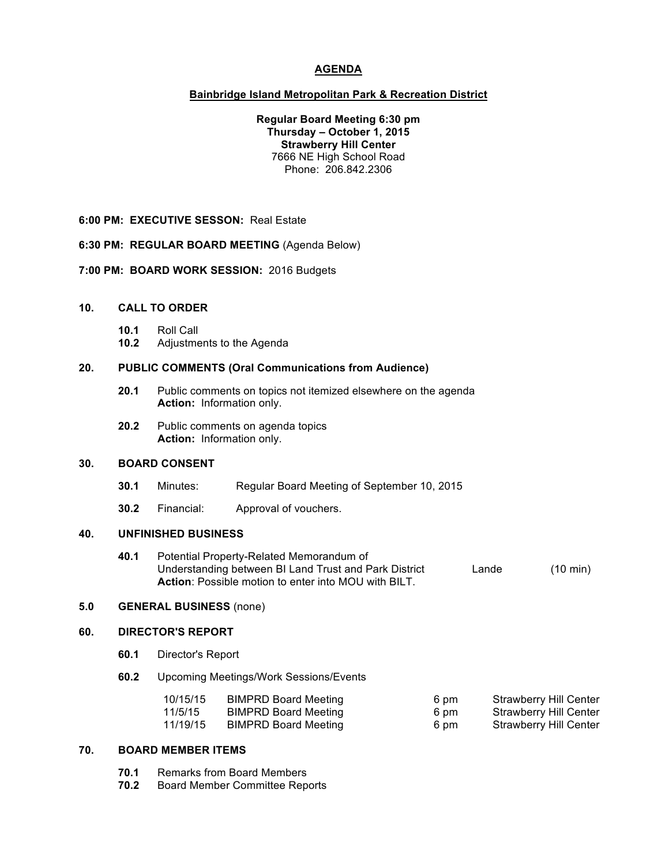# **AGENDA**

### **Bainbridge Island Metropolitan Park & Recreation District**

**Regular Board Meeting 6:30 pm Thursday – October 1, 2015 Strawberry Hill Center** 7666 NE High School Road Phone: 206.842.2306

**6:00 PM: EXECUTIVE SESSON:** Real Estate

**6:30 PM: REGULAR BOARD MEETING** (Agenda Below)

**7:00 PM: BOARD WORK SESSION:** 2016 Budgets

# **10. CALL TO ORDER**

- **10.1** Roll Call
- **10.2** Adjustments to the Agenda

### **20. PUBLIC COMMENTS (Oral Communications from Audience)**

- **20.1** Public comments on topics not itemized elsewhere on the agenda **Action:** Information only.
- **20.2** Public comments on agenda topics **Action:** Information only.

# **30. BOARD CONSENT**

- **30.1** Minutes: Regular Board Meeting of September 10, 2015
- **30.2** Financial: Approval of vouchers.

# **40. UNFINISHED BUSINESS**

**40.1** Potential Property-Related Memorandum of Understanding between BI Land Trust and Park District Lande (10 min) **Action**: Possible motion to enter into MOU with BILT.

# **5.0 GENERAL BUSINESS** (none)

#### **60. DIRECTOR'S REPORT**

- **60.1** Director's Report
- **60.2** Upcoming Meetings/Work Sessions/Events

| 10/15/15 | <b>BIMPRD Board Meeting</b> | 6 pm | Strawberry Hill Center |
|----------|-----------------------------|------|------------------------|
| 11/5/15  | <b>BIMPRD Board Meeting</b> | 6 pm | Strawberry Hill Center |
| 11/19/15 | <b>BIMPRD Board Meeting</b> | 6 pm | Strawberry Hill Center |

#### **70. BOARD MEMBER ITEMS**

- **70.1** Remarks from Board Members
- **70.2** Board Member Committee Reports